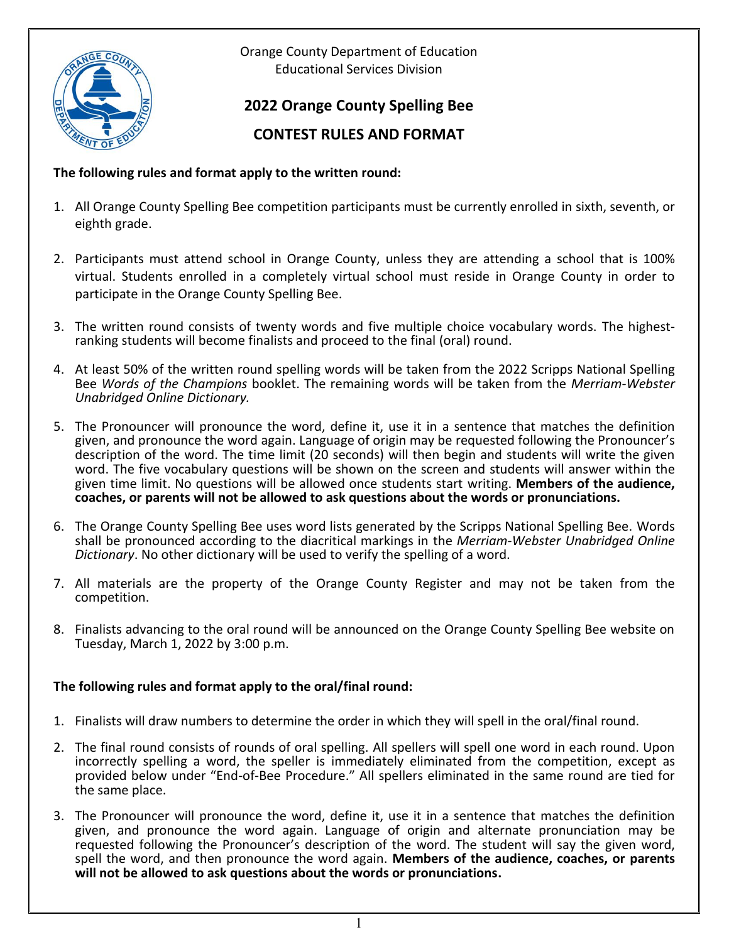

Orange County Department of Education Educational Services Division

# **2022 Orange County Spelling Bee**

## **CONTEST RULES AND FORMAT**

### **The following rules and format apply to the written round:**

- 1. All Orange County Spelling Bee competition participants must be currently enrolled in sixth, seventh, or eighth grade.
- 2. Participants must attend school in Orange County, unless they are attending a school that is 100% virtual. Students enrolled in a completely virtual school must reside in Orange County in order to participate in the Orange County Spelling Bee.
- 3. The written round consists of twenty words and five multiple choice vocabulary words. The highestranking students will become finalists and proceed to the final (oral) round.
- 4. At least 50% of the written round spelling words will be taken from the 2022 Scripps National Spelling Bee *Words of the Champions* booklet. The remaining words will be taken from the *Merriam-Webster Unabridged Online Dictionary.*
- 5. The Pronouncer will pronounce the word, define it, use it in a sentence that matches the definition given, and pronounce the word again. Language of origin may be requested following the Pronouncer's description of the word. The time limit (20 seconds) will then begin and students will write the given word. The five vocabulary questions will be shown on the screen and students will answer within the given time limit. No questions will be allowed once students start writing. **Members of the audience, coaches, or parents will not be allowed to ask questions about the words or pronunciations.**
- 6. The Orange County Spelling Bee uses word lists generated by the Scripps National Spelling Bee. Words shall be pronounced according to the diacritical markings in the *Merriam-Webster Unabridged Online Dictionary*. No other dictionary will be used to verify the spelling of a word.
- 7. All materials are the property of the Orange County Register and may not be taken from the competition.
- 8. Finalists advancing to the oral round will be announced on the Orange County Spelling Bee website on Tuesday, March 1, 2022 by 3:00 p.m.

### **The following rules and format apply to the oral/final round:**

- 1. Finalists will draw numbers to determine the order in which they will spell in the oral/final round.
- 2. The final round consists of rounds of oral spelling. All spellers will spell one word in each round. Upon incorrectly spelling a word, the speller is immediately eliminated from the competition, except as provided below under "End-of-Bee Procedure." All spellers eliminated in the same round are tied for the same place.
- 3. The Pronouncer will pronounce the word, define it, use it in a sentence that matches the definition given, and pronounce the word again. Language of origin and alternate pronunciation may be requested following the Pronouncer's description of the word. The student will say the given word, spell the word, and then pronounce the word again. **Members of the audience, coaches, or parents will not be allowed to ask questions about the words or pronunciations.**